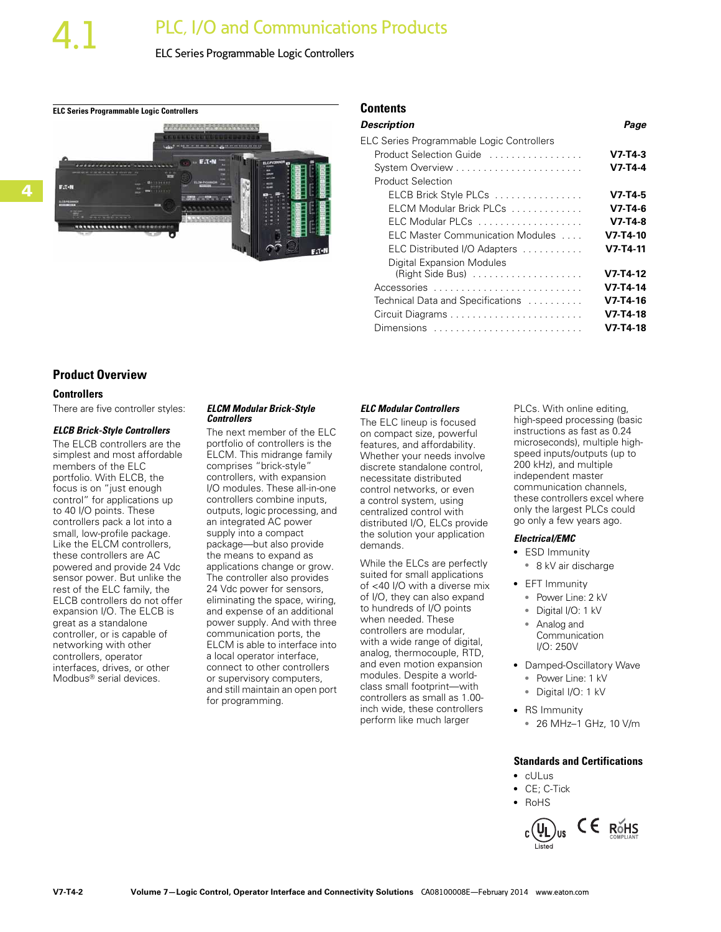# PLC, I/O and Communications Products

ELC Series Programmable Logic Controllers

**ELC Series Programmable Logic Controllers** and and all contents contents



| Description                               | Page       |
|-------------------------------------------|------------|
| ELC Series Programmable Logic Controllers |            |
| Product Selection Guide                   | $V7-T4-3$  |
|                                           | V7-T4-4    |
| <b>Product Selection</b>                  |            |
| ELCB Brick Style PLCs                     | $V7-T4-5$  |
| ELCM Modular Brick PLCs                   | V7-T4-6    |
|                                           | $V7-T4-8$  |
| ELC Master Communication Modules          | $V7-T4-10$ |
| ELC Distributed I/O Adapters              | V7-T4-11   |
| <b>Digital Expansion Modules</b>          |            |
|                                           | V7-T4-12   |
| Accessories                               | V7-T4-14   |
| Technical Data and Specifications         | $V7-T4-16$ |
|                                           | $V7-T4-18$ |
| Dimensions                                | V7-T4-18   |
|                                           |            |

# **Product Overview**

### **Controllers**

There are five controller styles:

### *ELCB Brick-Style Controllers*

The ELCB controllers are the simplest and most affordable members of the ELC portfolio. With ELCB, the focus is on "just enough control" for applications up to 40 I/O points. These controllers pack a lot into a small, low-profile package. Like the ELCM controllers, these controllers are AC powered and provide 24 Vdc sensor power. But unlike the rest of the ELC family, the ELCB controllers do not offer expansion I/O. The ELCB is great as a standalone controller, or is capable of networking with other controllers, operator interfaces, drives, or other Modbus® serial devices.

### *ELCM Modular Brick-Style Controllers*

The next member of the ELC portfolio of controllers is the ELCM. This midrange family comprises "brick-style" controllers, with expansion I/O modules. These all-in-one controllers combine inputs, outputs, logic processing, and an integrated AC power supply into a compact package—but also provide the means to expand as applications change or grow. The controller also provides 24 Vdc power for sensors, eliminating the space, wiring, and expense of an additional power supply. And with three communication ports, the ELCM is able to interface into a local operator interface, connect to other controllers or supervisory computers, and still maintain an open port for programming.

### *ELC Modular Controllers*

The ELC lineup is focused on compact size, powerful features, and affordability. Whether your needs involve discrete standalone control, necessitate distributed control networks, or even a control system, using centralized control with distributed I/O, ELCs provide the solution your application demands.

While the ELCs are perfectly suited for small applications of <40 I/O with a diverse mix of I/O, they can also expand to hundreds of I/O points when needed. These controllers are modular, with a wide range of digital, analog, thermocouple, RTD, and even motion expansion modules. Despite a worldclass small footprint—with controllers as small as 1.00 inch wide, these controllers perform like much larger

PLCs. With online editing, high-speed processing (basic instructions as fast as 0.24 microseconds), multiple highspeed inputs/outputs (up to 200 kHz), and multiple independent master communication channels, these controllers excel where only the largest PLCs could go only a few years ago.

### *Electrical/EMC*

- ESD Immunity
	- 8 kV air discharge
- EFT Immunity
	- Power Line: 2 kV
	- Digital I/O: 1 kV
	- Analog and Communication I/O: 250V
- Damped-Oscillatory Wave
	- Power Line: 1 kV
	- Digital I/O: 1 kV
- RS Immunity
	- 26 MHz–1 GHz, 10 V/m

### **Standards and Certifications**

- cULus
- CE; C-Tick
- RoHS

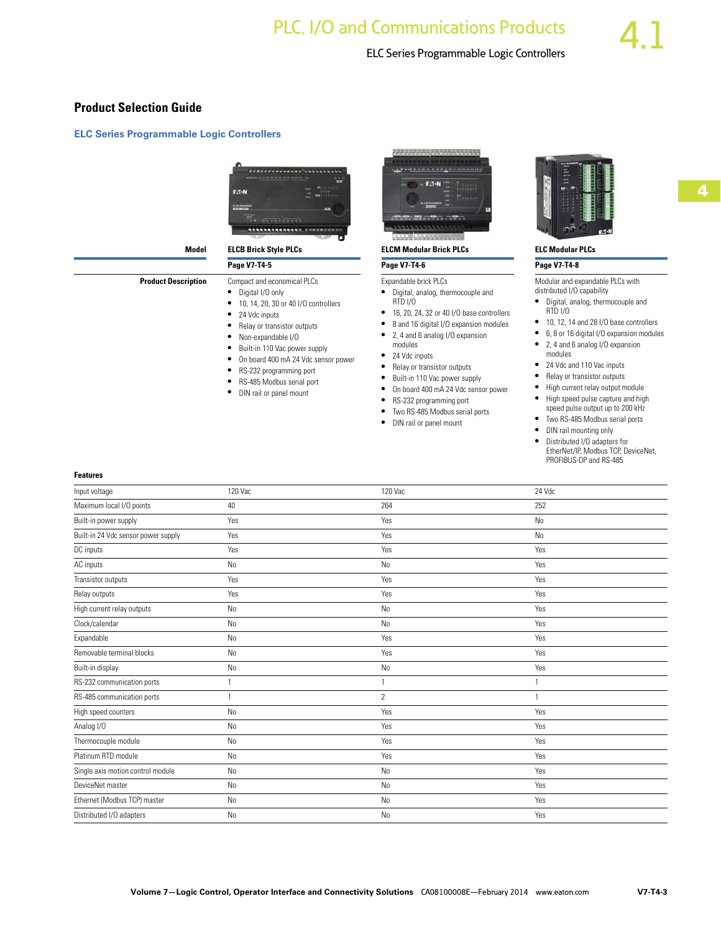# **Product Selection Guide**

# **ELC Series Programmable Logic Controllers**



**Product Description** Compact and economical PLCs

- Digital I/O only
	- 10, 14, 20, 30 or 40 I/O controllers
	- 24 Vdc inputs
	- Relay or transistor outputs
	- Non-expandable I/O
	- Built-in 110 Vac power supply
	- On board 400 mA 24 Vdc sensor power
	- RS-232 programming port
	- RS-485 Modbus serial port
	- DIN rail or panel mount



# **Model ELCB Brick Style PLCs ELCM Modular Brick PLCs ELC Modular PLCs**

### **Page V7-T4-5 Page V7-T4-6 Page V7-T4-8**

### Expandable brick PLCs

- Digital, analog, thermocouple and RTD I/O
- 16, 20, 24, 32 or 40 I/O base controllers
- 8 and 16 digital I/O expansion modules
- 2, 4 and 6 analog I/O expansion
- modules
- 24 Vdc inputs
- Relay or transistor outputs
- Built-in 110 Vac power supply
- On board 400 mA 24 Vdc sensor power
- RS-232 programming port
- Two RS-485 Modbus serial ports
- DIN rail or panel mount



Modular and expandable PLCs with distributed I/O capability

- Digital, analog, thermocouple and RTD I/O
- 10, 12, 14 and 28 I/O base controllers
- 6, 8 or 16 digital I/O expansion modules
- 2, 4 and 6 analog I/O expansion modules
- 24 Vdc and 110 Vac inputs
- Relay or transistor outputs
- High current relay output module
- High speed pulse capture and high speed pulse output up to 200 kHz
- Two RS-485 Modbus serial ports
- DIN rail mounting only
- Distributed I/O adapters for EtherNet/IP, Modbus TCP, DeviceNet, PROFIBUS-DP and RS-485

### **Features**

| Input voltage                       | 120 Vac        | 120 Vac        | 24 Vdc       |
|-------------------------------------|----------------|----------------|--------------|
| Maximum local I/O points            | 40             | 264            | 252          |
| Built-in power supply               | Yes            | Yes            | No           |
| Built-in 24 Vdc sensor power supply | Yes            | Yes            | No           |
| DC inputs                           | Yes            | Yes            | Yes          |
| AC inputs                           | No             | No             | Yes          |
| Transistor outputs                  | Yes            | Yes            | Yes          |
| Relay outputs                       | Yes            | Yes            | Yes          |
| High current relay outputs          | No             | N <sub>o</sub> | Yes          |
| Clock/calendar                      | No             | No             | Yes          |
| Expandable                          | No             | Yes            | Yes          |
| Removable terminal blocks           | No             | Yes            | Yes          |
| Built-in display                    | No             | N <sub>0</sub> | Yes          |
| RS-232 communication ports          | $\overline{1}$ |                | $\mathbf{1}$ |
| RS-485 communication ports          |                | $\overline{c}$ | $\mathbf{1}$ |
| High speed counters                 | No             | Yes            | Yes          |
| Analog I/O                          | No             | Yes            | Yes          |
| Thermocouple module                 | No             | Yes            | Yes          |
| Platinum RTD module                 | No             | Yes            | Yes          |
| Single axis motion control module   | No             | No             | Yes          |
| DeviceNet master                    | No             | No             | Yes          |
| Ethernet (Modbus TCP) master        | No             | No             | Yes          |
| Distributed I/O adapters            | No             | No             | Yes          |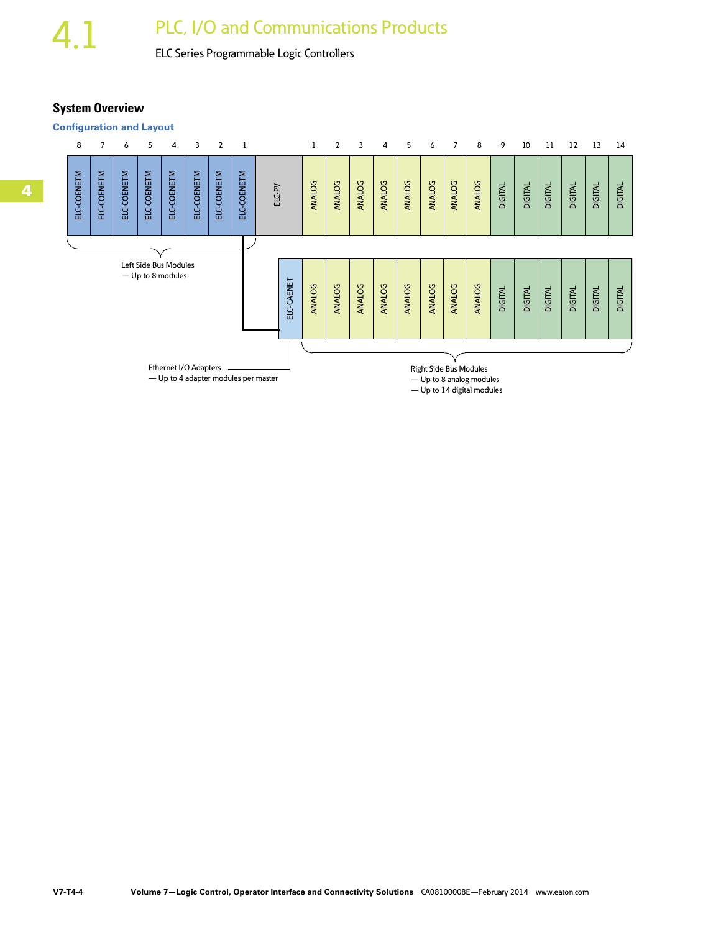# 4.1 PLC, I/O and Communications Products

ELC Series Programmable Logic Controllers

# **System Overview**

### **Configuration and Layout**



— Up to 14 digital modules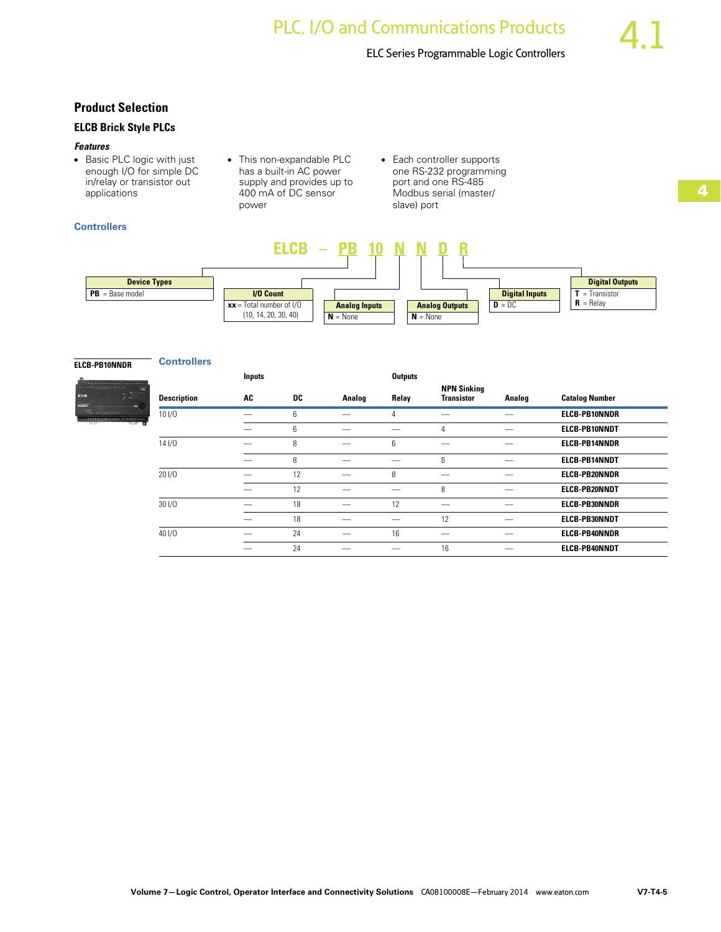# **Product Selection**

# **ELCB Brick Style PLCs**

### *Features*

**Controllers**

- Basic PLC logic with just enough I/O for simple DC in/relay or transistor out applications
- This non-expandable PLC has a built-in AC power supply and provides up to 400 mA of DC sensor power
- Each controller supports one RS-232 programming port and one RS-485 Modbus serial (master/ slave) port



### **ELCB-PB10NNDR**

|      | <i>,,,,,,,,,,,,,,,,,</i> ,,,,, |         |
|------|--------------------------------|---------|
| 66.T |                                |         |
|      |                                |         |
|      |                                |         |
|      |                                |         |
|      |                                | <b></b> |

**Controllers** 

|                    | <b>Inputs</b> |    |        | <b>Outputs</b> |                                         |        |                       |  |  |
|--------------------|---------------|----|--------|----------------|-----------------------------------------|--------|-----------------------|--|--|
| <b>Description</b> | AC            | DC | Analog | Relay          | <b>NPN Sinking</b><br><b>Transistor</b> | Analog | <b>Catalog Number</b> |  |  |
| 101/0              |               | 6  |        | 4              |                                         |        | <b>ELCB-PB10NNDR</b>  |  |  |
|                    |               | 6  |        |                | 4                                       |        | <b>ELCB-PB10NNDT</b>  |  |  |
| 141/0              |               | 8  |        | 6              |                                         |        | <b>ELCB-PB14NNDR</b>  |  |  |
|                    |               | 8  |        |                | 6                                       |        | <b>ELCB-PB14NNDT</b>  |  |  |
| 201/0              |               | 12 |        | 8              |                                         |        | <b>ELCB-PB20NNDR</b>  |  |  |
|                    |               | 12 |        |                | 8                                       |        | <b>ELCB-PB20NNDT</b>  |  |  |
| 301/0              |               | 18 |        | 12             |                                         |        | <b>ELCB-PB30NNDR</b>  |  |  |
|                    |               | 18 |        |                | 12                                      |        | <b>ELCB-PB30NNDT</b>  |  |  |
| 40 I/O             |               | 24 |        | 16             |                                         |        | <b>ELCB-PB40NNDR</b>  |  |  |
|                    |               | 24 |        |                | 16                                      |        | <b>ELCB-PB40NNDT</b>  |  |  |
|                    |               |    |        |                |                                         |        |                       |  |  |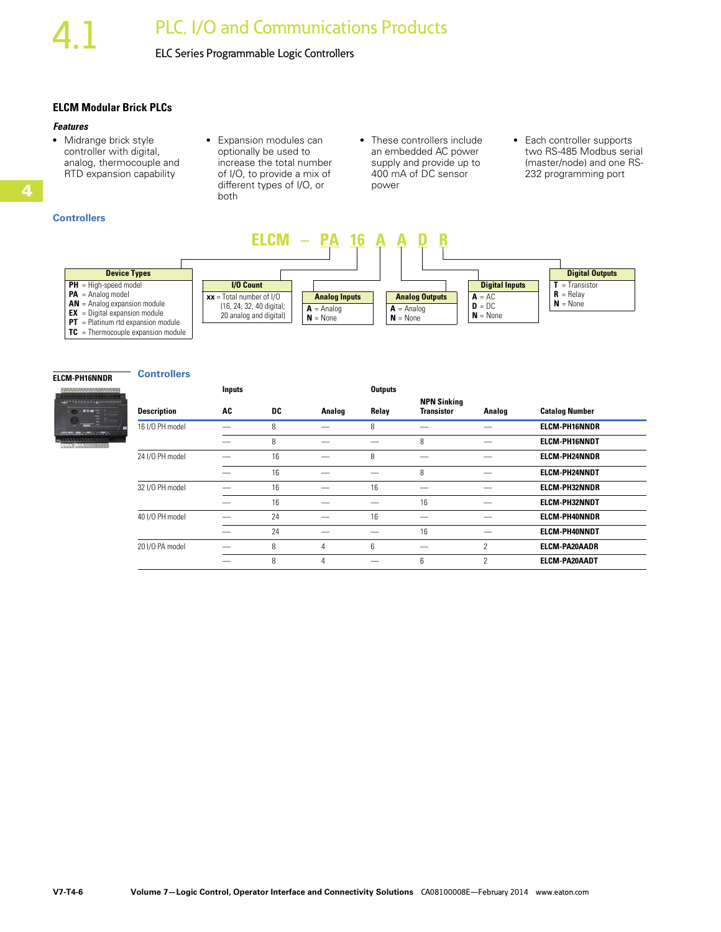# PLC, I/O and Communications Products

ELC Series Programmable Logic Controllers

### **ELCM Modular Brick PLCs**

### *Features*

**Controllers**

- Midrange brick style controller with digital, analog, thermocouple and RTD expansion capability
- Expansion modules can optionally be used to increase the total number of I/O, to provide a mix of different types of I/O, or both
- These controllers include an embedded AC power supply and provide up to 400 mA of DC sensor power
- Each controller supports two RS-485 Modbus serial (master/node) and one RS-232 programming port



**TC** = Thermocouple expansion module

# **ELCM-PH16NNDR**

**Controllers** 



|                    | <b>Inputs</b> |    |        | <b>Outputs</b> |                                  |        |                       |
|--------------------|---------------|----|--------|----------------|----------------------------------|--------|-----------------------|
| <b>Description</b> | AC            | DC | Analog | Relay          | <b>NPN Sinking</b><br>Transistor | Analog | <b>Catalog Number</b> |
| 16 I/O PH model    |               | 8  |        | 8              |                                  |        | <b>ELCM-PH16NNDR</b>  |
|                    |               | 8  |        |                | 8                                |        | <b>ELCM-PH16NNDT</b>  |
| 24 I/O PH model    |               | 16 |        | 8              |                                  |        | <b>ELCM-PH24NNDR</b>  |
|                    |               | 16 |        |                | 8                                |        | <b>ELCM-PH24NNDT</b>  |
| 32 I/O PH model    |               | 16 |        | 16             |                                  |        | <b>ELCM-PH32NNDR</b>  |
|                    |               | 16 |        |                | 16                               |        | <b>ELCM-PH32NNDT</b>  |
| 40 I/O PH model    |               | 24 |        | 16             |                                  |        | <b>ELCM-PH40NNDR</b>  |
|                    |               | 24 |        |                | 16                               |        | <b>ELCM-PH40NNDT</b>  |
| 20 I/O PA model    |               | 8  | 4      | 6              |                                  | 2      | <b>ELCM-PA20AADR</b>  |
|                    |               | 8  | 4      |                | 6                                | 2      | <b>ELCM-PA20AADT</b>  |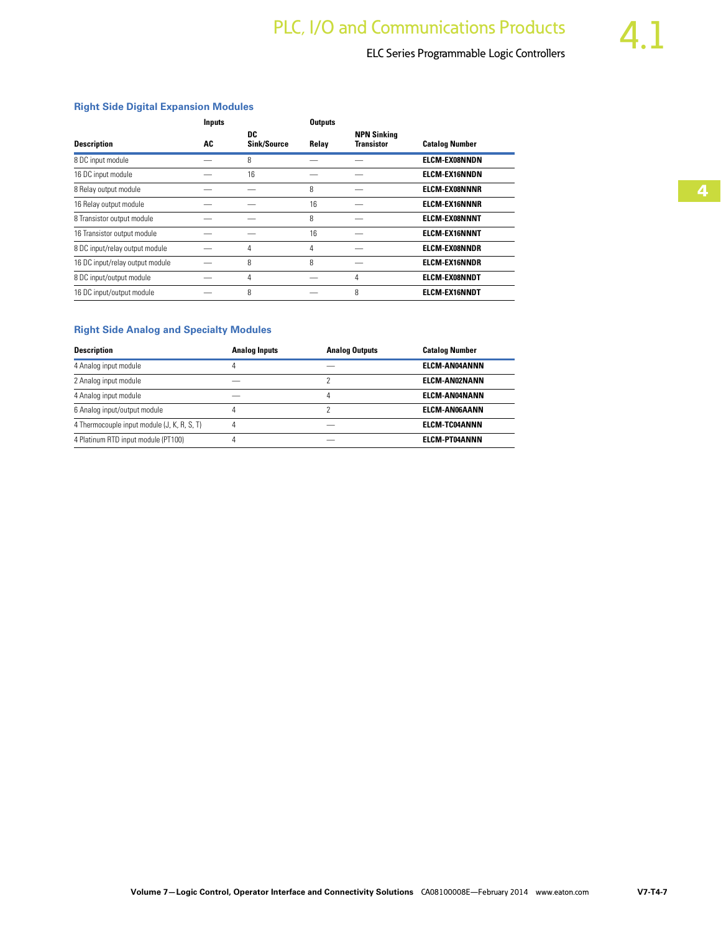# **Right Side Digital Expansion Modules**

|                                 | Inputs |                          | <b>Outputs</b> |                                         |                       |
|---------------------------------|--------|--------------------------|----------------|-----------------------------------------|-----------------------|
| <b>Description</b>              | AC     | DC<br><b>Sink/Source</b> | Relay          | <b>NPN Sinking</b><br><b>Transistor</b> | <b>Catalog Number</b> |
| 8 DC input module               |        | 8                        |                |                                         | <b>ELCM-EX08NNDN</b>  |
| 16 DC input module              |        | 16                       |                |                                         | <b>ELCM-EX16NNDN</b>  |
| 8 Relay output module           |        |                          | 8              |                                         | <b>ELCM-EX08NNNR</b>  |
| 16 Relay output module          |        |                          | 16             |                                         | <b>ELCM-EX16NNNR</b>  |
| 8 Transistor output module      |        |                          | 8              |                                         | <b>ELCM-EX08NNNT</b>  |
| 16 Transistor output module     |        |                          | 16             |                                         | <b>ELCM-EX16NNNT</b>  |
| 8 DC input/relay output module  |        | 4                        | 4              |                                         | <b>ELCM-EX08NNDR</b>  |
| 16 DC input/relay output module |        | 8                        | 8              |                                         | <b>ELCM-EX16NNDR</b>  |
| 8 DC input/output module        |        | 4                        |                | 4                                       | <b>ELCM-EX08NNDT</b>  |
| 16 DC input/output module       |        | 8                        |                | 8                                       | <b>ELCM-EX16NNDT</b>  |

# **Right Side Analog and Specialty Modules**

| <b>Description</b>                          | <b>Analog Inputs</b> | <b>Analog Outputs</b> | <b>Catalog Number</b> |
|---------------------------------------------|----------------------|-----------------------|-----------------------|
| 4 Analog input module                       |                      |                       | <b>ELCM-AN04ANNN</b>  |
| 2 Analog input module                       |                      |                       | <b>ELCM-AN02NANN</b>  |
| 4 Analog input module                       |                      | 4                     | <b>ELCM-AN04NANN</b>  |
| 6 Analog input/output module                |                      |                       | <b>ELCM-AN06AANN</b>  |
| 4 Thermocouple input module (J, K, R, S, T) |                      |                       | <b>ELCM-TC04ANNN</b>  |
| 4 Platinum RTD input module (PT100)         |                      |                       | <b>ELCM-PT04ANNN</b>  |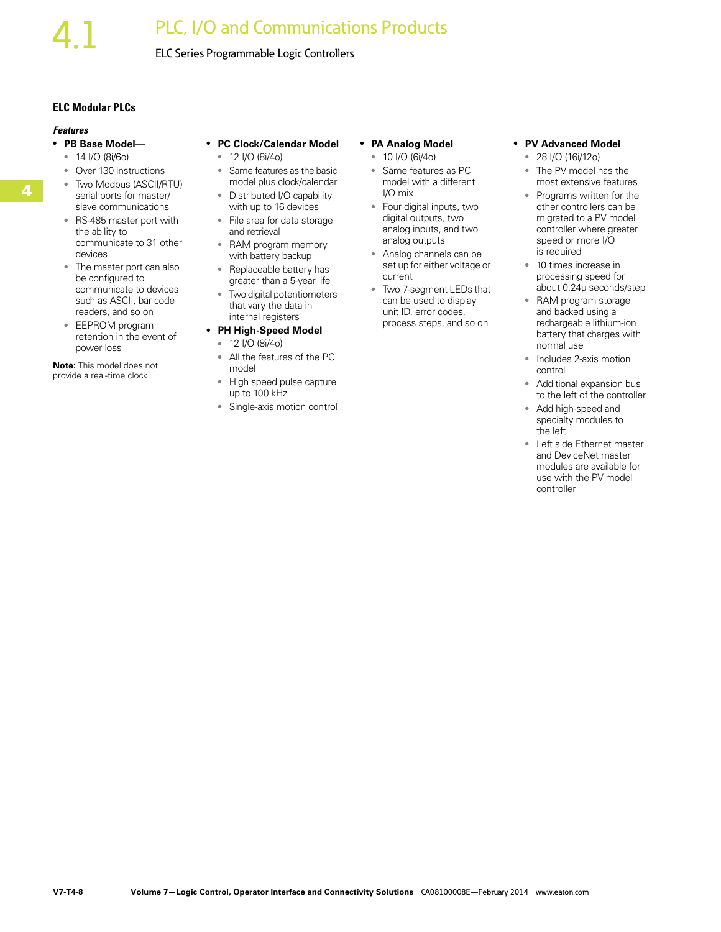# PLC, I/O and Communications Products

# ELC Series Programmable Logic Controllers

# **ELC Modular PLCs**

### *Features*

### ● **PB Base Model**—

- 14 I/O (8i/6o)
- Over 130 instructions
- Two Modbus (ASCII/RTU) serial ports for master/ slave communications
- RS-485 master port with the ability to communicate to 31 other devices
- The master port can also be configured to communicate to devices such as ASCII, bar code readers, and so on
- EEPROM program retention in the event of power loss

**Note:** This model does not provide a real-time clock

- **PC Clock/Calendar Model**
	- 12 I/O (8i/4o)
	- Same features as the basic model plus clock/calendar
	- Distributed I/O capability with up to 16 devices
	- File area for data storage and retrieval
	- RAM program memory with battery backup
	- Replaceable battery has greater than a 5-year life
	- Two digital potentiometers that vary the data in internal registers

### ● **PH High-Speed Model**

- 12 I/O (8i/4o)
- All the features of the PC model
- High speed pulse capture up to 100 kHz
- Single-axis motion control

## ● **PA Analog Model**

- 10 I/O (6i/4o)
- Same features as PC model with a different I/O mix
- Four digital inputs, two digital outputs, two analog inputs, and two analog outputs
- Analog channels can be set up for either voltage or current
- Two 7-segment LEDs that can be used to display unit ID, error codes, process steps, and so on

### ● **PV Advanced Model**

- 28 I/O (16i/12o)
- The PV model has the most extensive features
- Programs written for the other controllers can be migrated to a PV model controller where greater speed or more I/O is required
- 10 times increase in processing speed for about 0.24μ seconds/step
- RAM program storage and backed using a rechargeable lithium-ion battery that charges with normal use
- Includes 2-axis motion control
- Additional expansion bus to the left of the controller
- Add high-speed and specialty modules to the left
- Left side Ethernet master and DeviceNet master modules are available for use with the PV model controller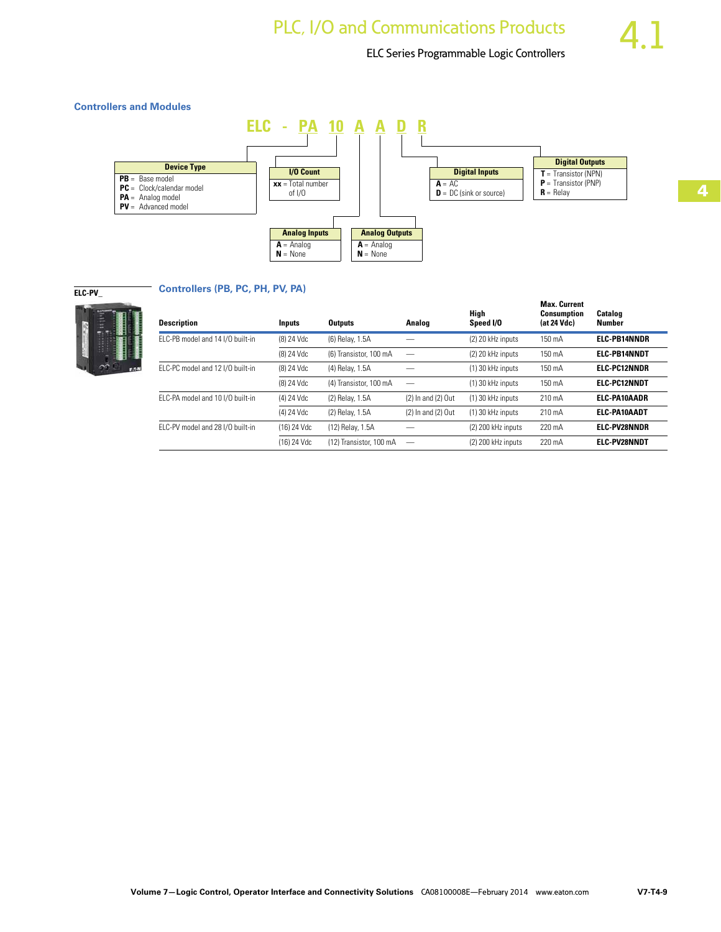(16) 24 Vdc (12) Transistor, 100 mA — (2) 200 kHz inputs 220 mA **ELC-PV28NNDT**



# **ELC-PV\_**



**Controllers (PB, PC, PH, PV, PA)** 

### **Description Inputs Outputs Analog High Speed I/O Max. Current Consumption (at 24 Vdc) Catalog Number** ELC-PB model and 14 I/O built-in (8) 24 Vdc (6) Relay, 1.5A — (2) 20 kHz inputs 150 mA **ELC-PB14NNDR** (8) 24 Vdc (6) Transistor, 100 mA — (2) 20 kHz inputs 150 mA **ELC-PB14NNDT** ELC-PC model and 12 I/O built-in (8) 24 Vdc (4) Relay, 1.5A — (1) 30 kHz inputs 150 mA **ELC-PC12NNDR** (8) 24 Vdc (4) Transistor, 100 mA — (1) 30 kHz inputs 150 mA **ELC-PC12NNDT** ELC-PA model and 10 I/O built-in (4) 24 Vdc (2) Relay, 1.5A (2) In and (2) Out (1) 30 kHz inputs 210 mA **ELC-PA10AADR** (4) 24 Vdc (2) Relay, 1.5A (2) In and (2) Out (1) 30 kHz inputs 210 mA **ELC-PA10AADT** ELC-PV model and 28 I/O built-in (16) 24 Vdc (12) Relay, 1.5A — (2) 200 kHz inputs 220 mA **ELC-PV28NNDR**

**Volume 7—Logic Control, Operator Interface and Connectivity Solutions** CA08100008E—February 2014 www.eaton.com **V7-T4-9**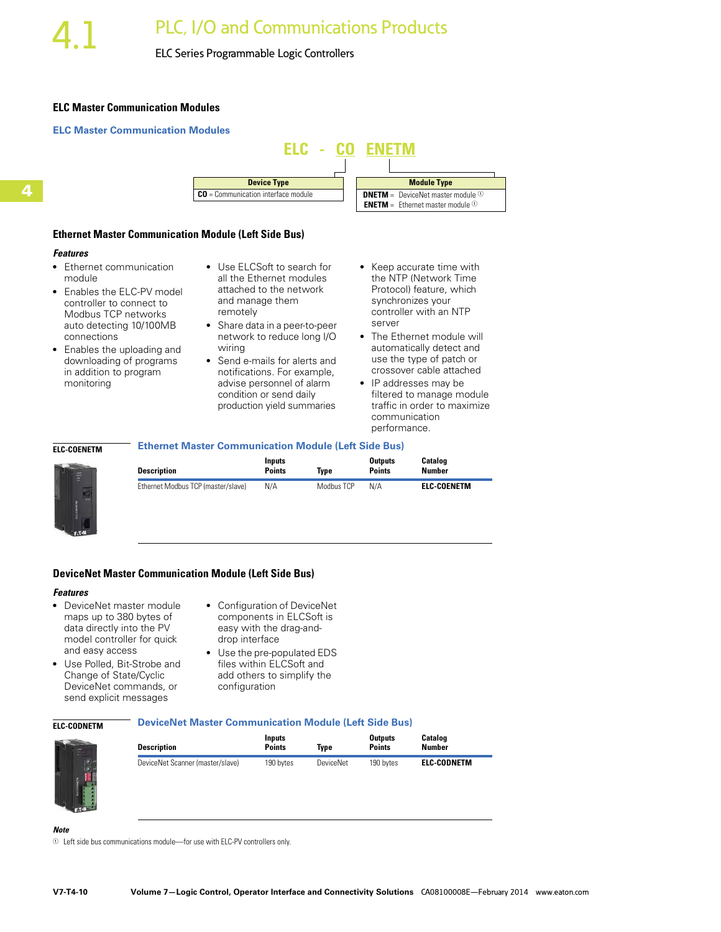## **ELC Master Communication Modules**



### **Ethernet Master Communication Module (Left Side Bus)**

### *Features*

**4**

- Ethernet communication module
- Enables the ELC-PV model controller to connect to Modbus TCP networks auto detecting 10/100MB connections
- Enables the uploading and downloading of programs in addition to program monitoring
- Use ELCSoft to search for all the Ethernet modules attached to the network and manage them remotely
- Share data in a peer-to-peer network to reduce long I/O wiring
- Send e-mails for alerts and notifications. For example, advise personnel of alarm condition or send daily production yield summaries

**Ethernet Master Communication Module (Left Side Bus)** 

- Keep accurate time with the NTP (Network Time Protocol) feature, which synchronizes your controller with an NTP server
- The Ethernet module will automatically detect and use the type of patch or crossover cable attached
- IP addresses may be filtered to manage module traffic in order to maximize communication performance.

### **ELC-COENETM**



| <b>Description</b>                 | Inputs<br><b>Points</b> | Tvpe       | <b>Outputs</b><br><b>Points</b> | <b>Catalog</b><br><b>Number</b> |
|------------------------------------|-------------------------|------------|---------------------------------|---------------------------------|
| Ethernet Modbus TCP (master/slave) | N/A                     | Modbus TCP | N/A                             | <b>ELC-COENETM</b>              |

## **DeviceNet Master Communication Module (Left Side Bus)**

### *Features*

- DeviceNet master module maps up to 380 bytes of data directly into the PV model controller for quick and easy access
- Use Polled, Bit-Strobe and Change of State/Cyclic DeviceNet commands, or send explicit messages
- Configuration of DeviceNet components in ELCSoft is easy with the drag-anddrop interface
- Use the pre-populated EDS files within ELCSoft and add others to simplify the configuration

### **ELC-CODNETM**

### **DeviceNet Master Communication Module (Left Side Bus)**

| <b>Description</b>               | Inputs<br><b>Points</b> | Type      | <b>Outputs</b><br><b>Points</b> | <b>Catalog</b><br><b>Number</b> |
|----------------------------------|-------------------------|-----------|---------------------------------|---------------------------------|
| DeviceNet Scanner (master/slave) | 190 bytes               | DeviceNet | 190 bytes                       | <b>ELC-CODNETM</b>              |
|                                  |                         |           |                                 |                                 |

### *Note*

 $\Phi$  Left side bus communications module—for use with ELC-PV controllers only.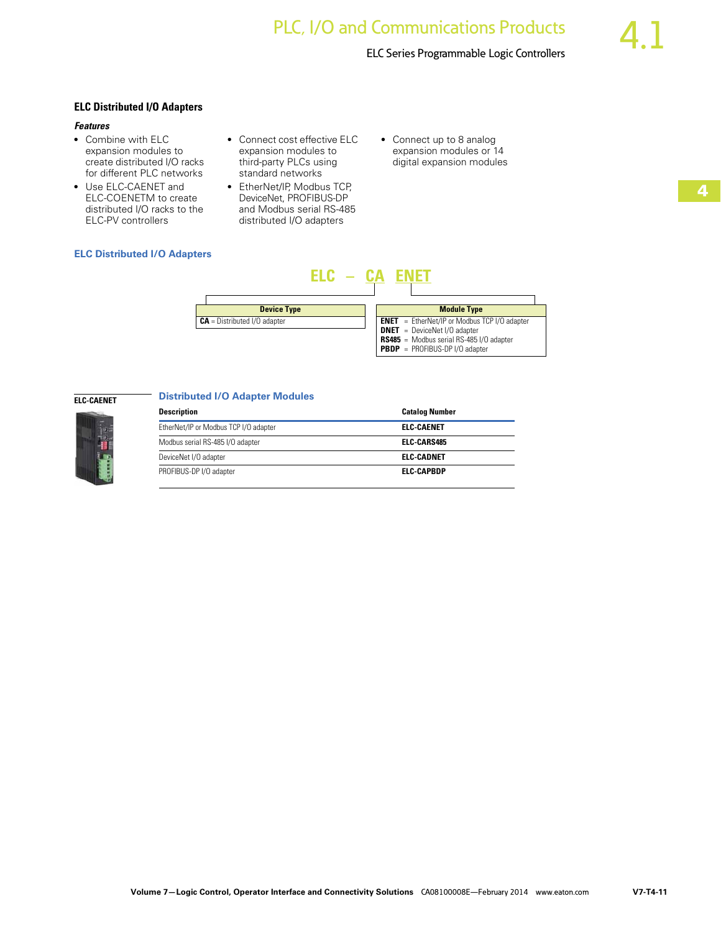**4**

### **ELC Distributed I/O Adapters**

### *Features*

- Combine with ELC expansion modules to create distributed I/O racks for different PLC networks
- Use ELC-CAENET and ELC-COENETM to create distributed I/O racks to the ELC-PV controllers
- Connect cost effective ELC expansion modules to third-party PLCs using standard networks
- EtherNet/IP, Modbus TCP, DeviceNet, PROFIBUS-DP and Modbus serial RS-485 distributed I/O adapters
- Connect up to 8 analog expansion modules or 14 digital expansion modules

# **ELC Distributed I/O Adapters**



### **ELC-CAENET**



# **Distributed I/O Adapter Modules**

| <b>Description</b>                    | <b>Catalog Number</b> |
|---------------------------------------|-----------------------|
| EtherNet/IP or Modbus TCP I/O adapter | <b>ELC-CAENET</b>     |
| Modbus serial RS-485 I/O adapter      | <b>ELC-CARS485</b>    |
| DeviceNet I/O adapter                 | <b>ELC-CADNET</b>     |
| PROFIBUS-DP I/O adapter               | <b>ELC-CAPBDP</b>     |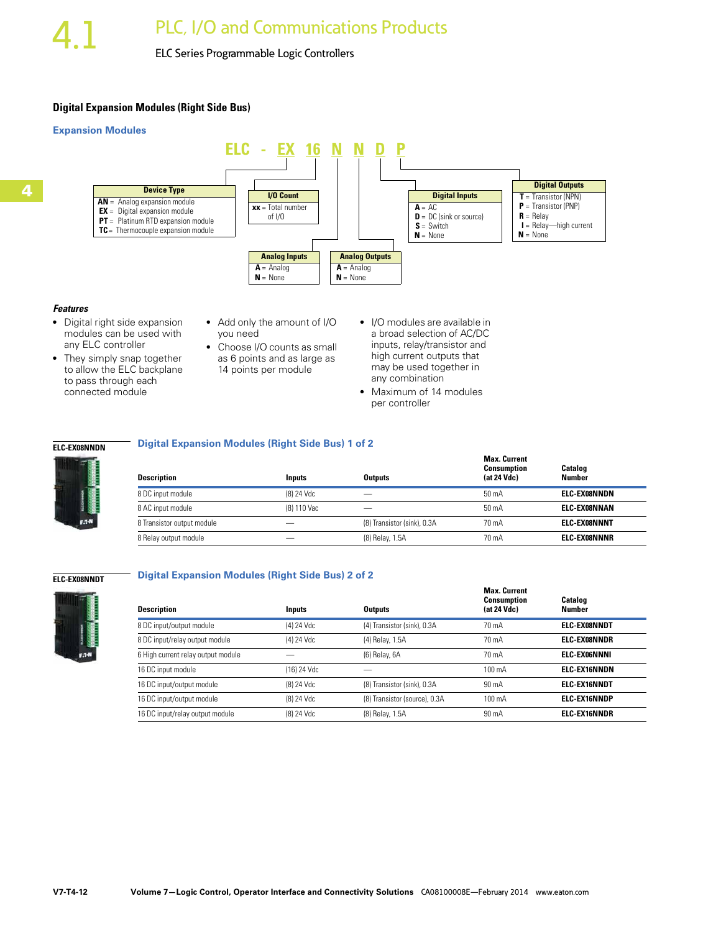# **Digital Expansion Modules (Right Side Bus)**



# *Features*

- Digital right side expansion modules can be used with any ELC controller
- They simply snap together to allow the ELC backplane to pass through each connected module
- Add only the amount of I/O you need
- Choose I/O counts as small as 6 points and as large as 14 points per module
- I/O modules are available in a broad selection of AC/DC inputs, relay/transistor and high current outputs that may be used together in any combination
- Maximum of 14 modules per controller



### **Digital Expansion Modules (Right Side Bus) 1 of 2**

| <b>Description</b>         | Inputs      | <b>Outputs</b>              | <b>Max. Current</b><br><b>Consumption</b><br>(at 24 Vdc) | Catalog<br><b>Number</b> |
|----------------------------|-------------|-----------------------------|----------------------------------------------------------|--------------------------|
| 8 DC input module          | (8) 24 Vdc  |                             | $50 \text{ mA}$                                          | <b>ELC-EX08NNDN</b>      |
| 8 AC input module          | (8) 110 Vac |                             | $50 \text{ mA}$                                          | <b>ELC-EX08NNAN</b>      |
| 8 Transistor output module |             | (8) Transistor (sink), 0.3A | 70 <sub>m</sub> A                                        | <b>ELC-EX08NNNT</b>      |
| 8 Relay output module      |             | (8) Relay, 1.5A             | 70 mA                                                    | <b>ELC-EX08NNNR</b>      |



# **Digital Expansion Modules (Right Side Bus) 2 of 2**



| Description                        | Inputs      | <b>Outputs</b>                | <b>Max. Current</b><br><b>Consumption</b><br>(at 24 Vdc) | Catalog<br>Number   |
|------------------------------------|-------------|-------------------------------|----------------------------------------------------------|---------------------|
| 8 DC input/output module           | (4) 24 Vdc  | (4) Transistor (sink), 0.3A   | 70 <sub>m</sub> A                                        | <b>ELC-EX08NNDT</b> |
| 8 DC input/relay output module     | (4) 24 Vdc  | (4) Relay, 1.5A               | 70 mA                                                    | <b>ELC-EX08NNDR</b> |
| 6 High current relay output module |             | (6) Relay, 6A                 | $70 \text{ mA}$                                          | <b>ELC-EXO6NNNI</b> |
| 16 DC input module                 | (16) 24 Vdc |                               | $100 \text{ mA}$                                         | <b>ELC-EX16NNDN</b> |
| 16 DC input/output module          | (8) 24 Vdc  | (8) Transistor (sink), 0.3A   | $90 \text{ mA}$                                          | <b>ELC-EX16NNDT</b> |
| 16 DC input/output module          | (8) 24 Vdc  | (8) Transistor (source), 0.3A | $100 \text{ mA}$                                         | <b>ELC-EX16NNDP</b> |
| 16 DC input/relay output module    | (8) 24 Vdc  | (8) Relay, 1.5A               | $90 \text{ mA}$                                          | <b>ELC-EX16NNDR</b> |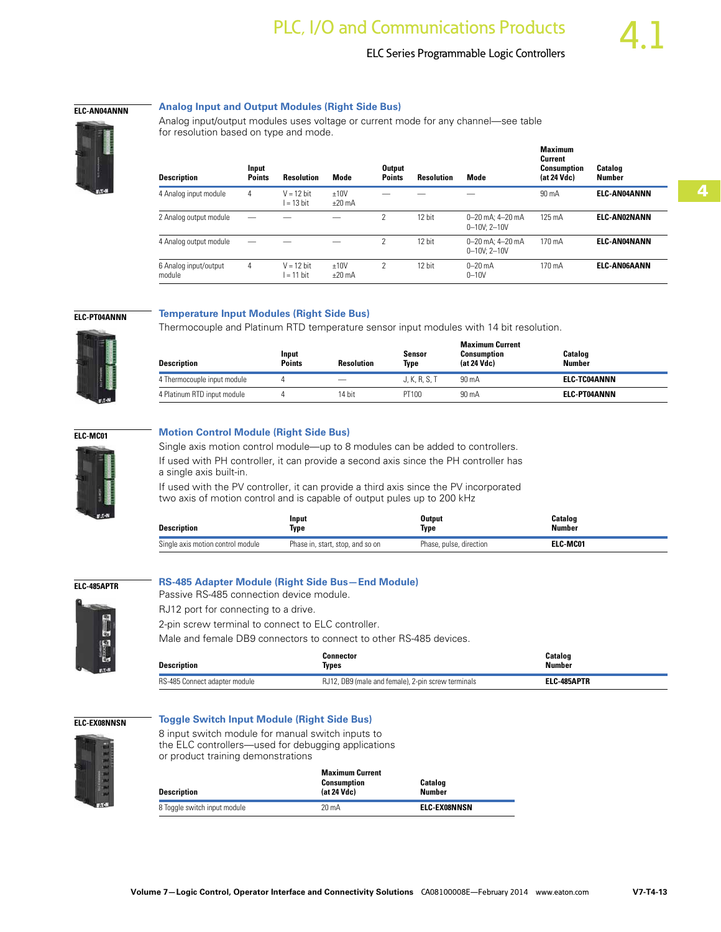

### **ELC-AN04ANNN**

| Analog input/output modules uses voltage or current mode for any channel—see table |
|------------------------------------------------------------------------------------|
| for resolution based on type and mode.                                             |

| <b>Description</b>              | Input<br><b>Points</b> | <b>Resolution</b>            | Mode                       | <b>Output</b><br><b>Points</b> | Resolution | Mode                                   | <b>Maximum</b><br>Current<br><b>Consumption</b><br>(at 24 Vdc) | <b>Catalog</b><br><b>Number</b> |
|---------------------------------|------------------------|------------------------------|----------------------------|--------------------------------|------------|----------------------------------------|----------------------------------------------------------------|---------------------------------|
| 4 Analog input module           | 4                      | $V = 12$ bit<br>$l = 13$ bit | $+10V$<br>$+20 \text{ mA}$ |                                |            |                                        | $90 \text{ mA}$                                                | <b>ELC-AN04ANNN</b>             |
| 2 Analog output module          |                        |                              |                            | 2                              | 12 bit     | 0-20 mA: 4-20 mA<br>$0 - 10V: 2 - 10V$ | $125 \text{ mA}$                                               | <b>ELC-AN02NANN</b>             |
| 4 Analog output module          |                        |                              |                            | $\mathcal{P}$                  | 12 bit     | 0-20 mA: 4-20 mA<br>$0 - 10V: 2 - 10V$ | 170 mA                                                         | <b>ELC-AN04NANN</b>             |
| 6 Analog input/output<br>module | 4                      | $V = 12$ bit<br>$l = 11$ bit | $+10V$<br>$+20 \text{ mA}$ | 2                              | 12 hit     | $0 - 20$ mA<br>$0 - 10V$               | 170 mA                                                         | ELC-AN06AANN                    |

### **ELC-PT04ANNN**

### **Temperature Input Modules (Right Side Bus)**

**Analog Input and Output Modules (Right Side Bus)**

Thermocouple and Platinum RTD temperature sensor input modules with 14 bit resolution.

| <b>Description</b>          | Input<br><b>Points</b> | <b>Resolution</b>        | Sensor<br>Type | <b>Maximum Current</b><br>Consumption<br>(at 24 Vdc) | <b>Catalog</b><br>Number |
|-----------------------------|------------------------|--------------------------|----------------|------------------------------------------------------|--------------------------|
| 4 Thermocouple input module |                        | $\overline{\phantom{a}}$ | J. K. R. S. T  | 90 mA                                                | <b>ELC-TC04ANNN</b>      |
| 4 Platinum RTD input module |                        | 14 bit                   | PT100          | $90 \text{ mA}$                                      | <b>ELC-PT04ANNN</b>      |

### **ELC-MC01**

# **Motion Control Module (Right Side Bus)**

Single axis motion control module—up to 8 modules can be added to controllers. If used with PH controller, it can provide a second axis since the PH controller has a single axis built-in.

If used with the PV controller, it can provide a third axis since the PV incorporated two axis of motion control and is capable of output pules up to 200 kHz

| Description                       | Input                            | Output                  | Catalog         |
|-----------------------------------|----------------------------------|-------------------------|-----------------|
|                                   | Type                             | Type                    | Number          |
| Single axis motion control module | Phase in, start, stop, and so on | Phase, pulse, direction | <b>ELC MC01</b> |

### **ELC-485APTR**

# **RS-485 Adapter Module (Right Side Bus—End Module)**

2-pin screw terminal to connect to ELC controller.

Passive RS-485 connection device module. RJ12 port for connecting to a drive.



Male and female DB9 connectors to connect to other RS-485 devices.

| <b>Description</b>            | Connector<br>Tvpes                                 | Catalog<br><b>Number</b> |
|-------------------------------|----------------------------------------------------|--------------------------|
| RS-485 Connect adapter module | RJ12, DB9 (male and female), 2-pin screw terminals | ELC-485APTR              |

### **ELC-EX08NNSN**

### **Toggle Switch Input Module (Right Side Bus)**



8 input switch module for manual switch inputs to the ELC controllers—used for debugging applications or product training demonstrations

| <b>Description</b>           | <b>Maximum Current</b><br><b>Consumption</b><br>(at 24 Vdc) | <b>Catalog</b><br><b>Number</b> |  |
|------------------------------|-------------------------------------------------------------|---------------------------------|--|
| 8 Toggle switch input module | $20 \text{ mA}$                                             | <b>ELC-EX08NNSN</b>             |  |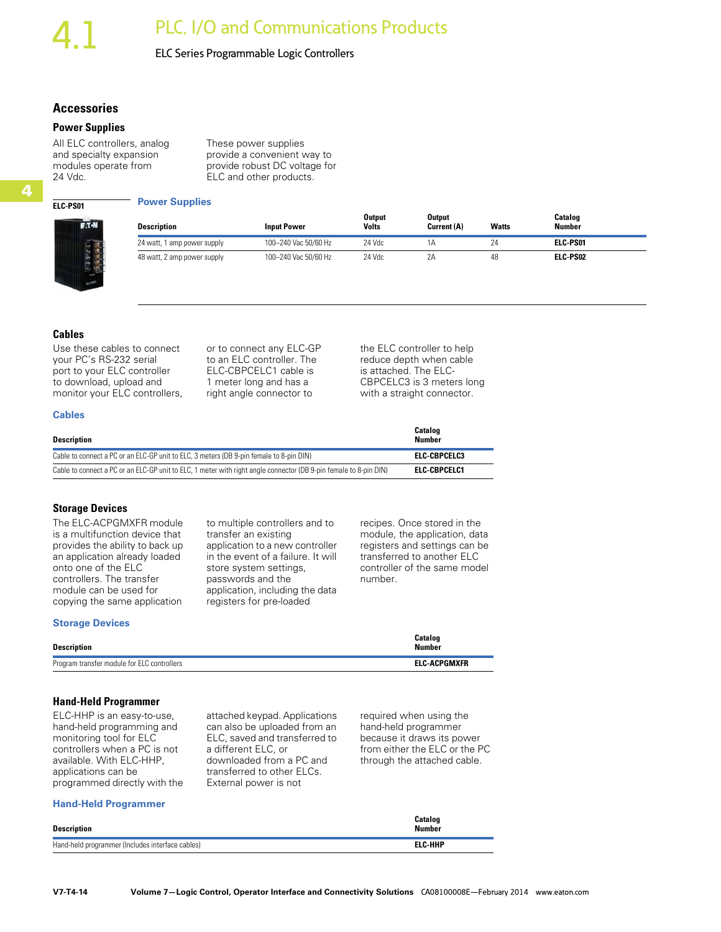# **Accessories**

### **Power Supplies**

All ELC controllers, analog and specialty expansion modules operate from 24 Vdc.

These power supplies provide a convenient way to provide robust DC voltage for ELC and other products.

| <b>Power Supplies</b> |  |
|-----------------------|--|
|-----------------------|--|

| <b>Description</b>          | <b>Input Power</b>   | <b>Output</b><br><b>Volts</b> | <b>Output</b><br>Current (A) | <b>Watts</b> | Catalog<br><b>Number</b> |
|-----------------------------|----------------------|-------------------------------|------------------------------|--------------|--------------------------|
| 24 watt, 1 amp power supply | 100-240 Vac 50/60 Hz | 24 Vdc                        | lΑ                           | 24           | ELC-PS01                 |
| 48 watt, 2 amp power supply | 100-240 Vac 50/60 Hz | 24 Vdc                        | 2Α                           | 48           | <b>ELC-PS02</b>          |

### **Cables**

**ELC-PS01** 

**4**

Use these cables to connect your PC's RS-232 serial port to your ELC controller to download, upload and monitor your ELC controllers,

### **Description**

**Cables** 

| Description                                                                                                       | Number       |
|-------------------------------------------------------------------------------------------------------------------|--------------|
| Cable to connect a PC or an ELC-GP unit to ELC, 3 meters (DB 9-pin female to 8-pin DIN)                           | ELC-CBPCELC3 |
| Cable to connect a PC or an ELC-GP unit to ELC, 1 meter with right angle connector (DB 9-pin female to 8-pin DIN) | ELC-CBPCELC1 |

or to connect any ELC-GP to an ELC controller. The ELC-CBPCELC1 cable is 1 meter long and has a right angle connector to

### **Storage Devices**

The ELC-ACPGMXFR module is a multifunction device that provides the ability to back up an application already loaded onto one of the ELC controllers. The transfer module can be used for copying the same application to multiple controllers and to transfer an existing application to a new controller in the event of a failure. It will store system settings, passwords and the application, including the data registers for pre-loaded

recipes. Once stored in the module, the application, data registers and settings can be transferred to another ELC controller of the same model number.

**Catalog**

the ELC controller to help reduce depth when cable is attached. The ELC-CBPCELC3 is 3 meters long with a straight connector.

### **Storage Devices**

| Description                                 | Catalog<br><b>Number</b> |
|---------------------------------------------|--------------------------|
| Program transfer module for ELC controllers | ELC ACPGMXFR             |

### **Hand-Held Programmer**

ELC-HHP is an easy-to-use, hand-held programming and monitoring tool for ELC controllers when a PC is not available. With ELC-HHP, applications can be programmed directly with the attached keypad. Applications can also be uploaded from an ELC, saved and transferred to a different ELC, or downloaded from a PC and transferred to other ELCs. External power is not

required when using the hand-held programmer because it draws its power from either the ELC or the PC through the attached cable.

### **Hand-Held Programmer**

| <b>Description</b>                               | Catalog<br><b>Number</b> |
|--------------------------------------------------|--------------------------|
| Hand-held programmer (Includes interface cables) | <b>ELC-HHP</b>           |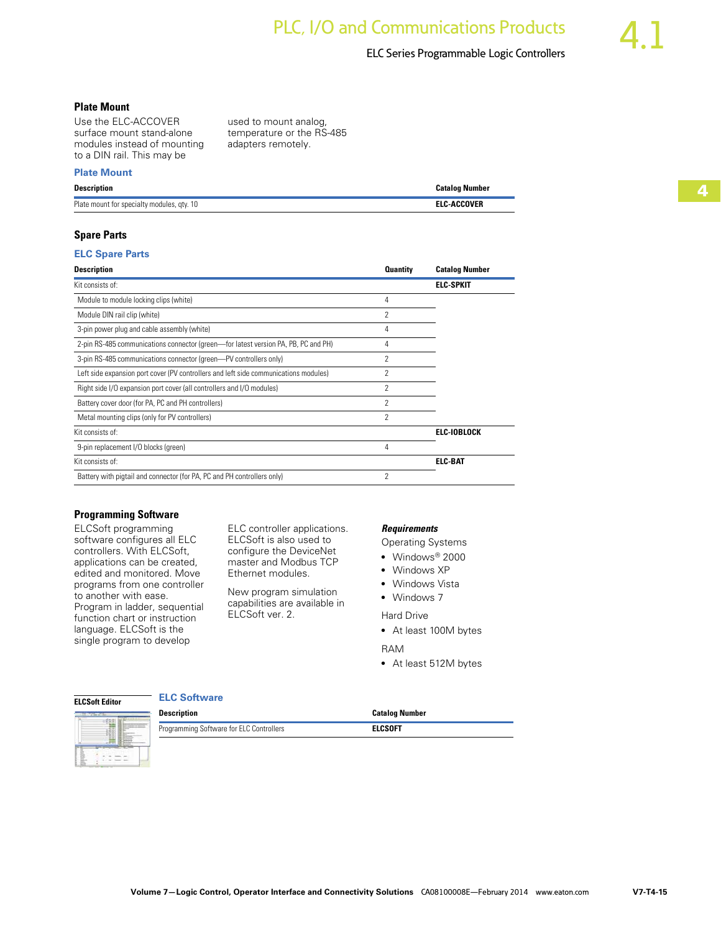**4**

### **Plate Mount**

used to mount analog, temperature or the RS-485 adapters remotely.

### **Plate Mount**

| <b>Description</b> |  |
|--------------------|--|
|                    |  |

| Description                                | <b>Catalog Number</b> |
|--------------------------------------------|-----------------------|
| Plate mount for specialty modules, gty. 10 | <b>ELC ACCOVER</b>    |

### **Spare Parts**

### **ELC Spare Parts**

| <b>Description</b>                                                                   | <b>Quantity</b> | <b>Catalog Number</b> |  |
|--------------------------------------------------------------------------------------|-----------------|-----------------------|--|
| Kit consists of:                                                                     |                 | <b>ELC-SPKIT</b>      |  |
| Module to module locking clips (white)                                               | 4               |                       |  |
| Module DIN rail clip (white)                                                         | 2               |                       |  |
| 3-pin power plug and cable assembly (white)                                          | 4               |                       |  |
| 2-pin RS-485 communications connector (green—for latest version PA, PB, PC and PH)   | 4               |                       |  |
| 3-pin RS-485 communications connector (green—PV controllers only)                    | 2               |                       |  |
| Left side expansion port cover (PV controllers and left side communications modules) | 2               |                       |  |
| Right side I/O expansion port cover (all controllers and I/O modules)                | 2               |                       |  |
| Battery cover door (for PA, PC and PH controllers)                                   | 2               |                       |  |
| Metal mounting clips (only for PV controllers)                                       | 2               |                       |  |
| Kit consists of:                                                                     |                 | <b>ELC-IOBLOCK</b>    |  |
| 9-pin replacement I/O blocks (green)                                                 | 4               |                       |  |
| Kit consists of:                                                                     |                 | <b>ELC-BAT</b>        |  |
| Battery with pigtail and connector (for PA, PC and PH controllers only)              | 2               |                       |  |

### **Programming Software**

ELCSoft programming software configures all ELC controllers. With ELCSoft, applications can be created, edited and monitored. Move programs from one controller to another with ease. Program in ladder, sequential function chart or instruction language. ELCSoft is the single program to develop

ELC controller applications. ELCSoft is also used to configure the DeviceNet master and Modbus TCP Ethernet modules.

New program simulation capabilities are available in ELCSoft ver. 2.

### *Requirements*

Operating Systems

- Windows® 2000
- Windows XP
- Windows Vista
- Windows 7

Hard Drive

● At least 100M bytes

RAM

● At least 512M bytes

| <b>ELCSoft Editor</b> |  |
|-----------------------|--|
|                       |  |

# **ELC Software**

|                             | <b>THE LEWIS</b> |                  |  |
|-----------------------------|------------------|------------------|--|
| ł.<br>÷                     |                  |                  |  |
| и<br>Ξ<br>s<br>v<br>۰<br>c. |                  | ٠<br>×<br>٠<br>ł |  |

| <b>Description</b>                       | <b>Catalog Number</b> |  |
|------------------------------------------|-----------------------|--|
| Programming Software for ELC Controllers | <b>FLCSOFT</b>        |  |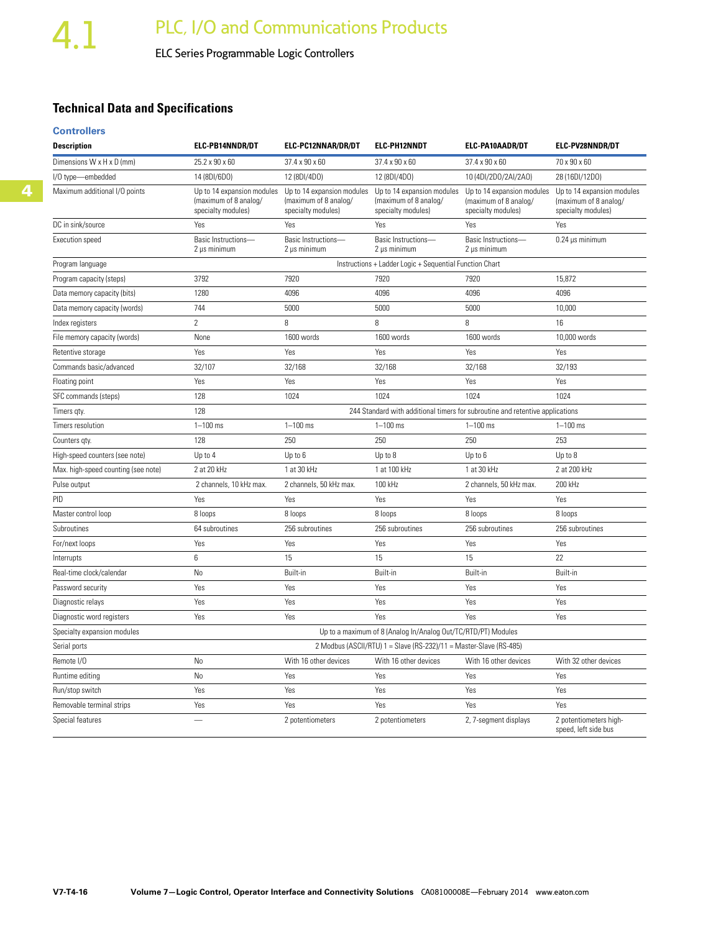# **Technical Data and Specifications**

### **Controllers**

| <b>Description</b>                  | ELC-PB14NNDR/DT                                                           | ELC-PC12NNAR/DR/DT                                                        | <b>ELC-PH12NNDT</b>                                                           | ELC-PA10AADR/DT                                                           | ELC-PV28NNDR/DT                                                           |
|-------------------------------------|---------------------------------------------------------------------------|---------------------------------------------------------------------------|-------------------------------------------------------------------------------|---------------------------------------------------------------------------|---------------------------------------------------------------------------|
| Dimensions W x H x D (mm)           | 25.2 x 90 x 60                                                            | 37.4 x 90 x 60                                                            | 37.4 x 90 x 60                                                                | 37.4 x 90 x 60                                                            | 70 x 90 x 60                                                              |
| I/O type-embedded                   | 14 (8DI/6D0)                                                              | 12 (8DI/4DO)                                                              | 12 (8DI/4DO)                                                                  | 10 (4DI/2D0/2AI/2A0)                                                      | 28 (16DI/12D0)                                                            |
| Maximum additional I/O points       | Up to 14 expansion modules<br>(maximum of 8 analog/<br>specialty modules) | Up to 14 expansion modules<br>(maximum of 8 analog/<br>specialty modules) | Up to 14 expansion modules<br>(maximum of 8 analog/<br>specialty modules)     | Up to 14 expansion modules<br>(maximum of 8 analog/<br>specialty modules) | Up to 14 expansion modules<br>(maximum of 8 analog/<br>specialty modules) |
| DC in sink/source                   | Yes                                                                       | Yes                                                                       | Yes                                                                           | Yes                                                                       | Yes                                                                       |
| <b>Execution</b> speed              | Basic Instructions-<br>$2 \mu s$ minimum                                  | Basic Instructions-<br>2 µs minimum                                       | Basic Instructions-<br>2 µs minimum                                           | Basic Instructions-<br>$2 \mu s$ minimum                                  | $0.24$ µs minimum                                                         |
| Program language                    |                                                                           |                                                                           | Instructions + Ladder Logic + Sequential Function Chart                       |                                                                           |                                                                           |
| Program capacity (steps)            | 3792                                                                      | 7920                                                                      | 7920                                                                          | 7920                                                                      | 15,872                                                                    |
| Data memory capacity (bits)         | 1280                                                                      | 4096                                                                      | 4096                                                                          | 4096                                                                      | 4096                                                                      |
| Data memory capacity (words)        | 744                                                                       | 5000                                                                      | 5000                                                                          | 5000                                                                      | 10,000                                                                    |
| Index registers                     | $\overline{2}$                                                            | 8                                                                         | 8                                                                             | 8                                                                         | 16                                                                        |
| File memory capacity (words)        | None                                                                      | 1600 words                                                                | 1600 words                                                                    | 1600 words                                                                | 10,000 words                                                              |
| Retentive storage                   | Yes                                                                       | Yes                                                                       | Yes                                                                           | Yes                                                                       | Yes                                                                       |
| Commands basic/advanced             | 32/107                                                                    | 32/168                                                                    | 32/168                                                                        | 32/168                                                                    | 32/193                                                                    |
| Floating point                      | Yes                                                                       | Yes                                                                       | Yes                                                                           | Yes                                                                       | Yes                                                                       |
| SFC commands (steps)                | 128                                                                       | 1024                                                                      | 1024                                                                          | 1024                                                                      | 1024                                                                      |
| Timers gty.                         | 128                                                                       |                                                                           | 244 Standard with additional timers for subroutine and retentive applications |                                                                           |                                                                           |
| Timers resolution                   | $1 - 100$ ms                                                              | $1 - 100$ ms                                                              | $1 - 100$ ms                                                                  | $1 - 100$ ms                                                              | $1 - 100$ ms                                                              |
| Counters qty.                       | 128                                                                       | 250                                                                       | 250                                                                           | 250                                                                       | 253                                                                       |
| High-speed counters (see note)      | Up to 4                                                                   | Up to 6                                                                   | Up to 8                                                                       | Up to 6                                                                   | Up to 8                                                                   |
| Max. high-speed counting (see note) | 2 at 20 kHz                                                               | 1 at 30 kHz                                                               | 1 at 100 kHz                                                                  | 1 at 30 kHz                                                               | 2 at 200 kHz                                                              |
| Pulse output                        | 2 channels, 10 kHz max.                                                   | 2 channels, 50 kHz max.                                                   | 100 kHz                                                                       | 2 channels, 50 kHz max.                                                   | 200 kHz                                                                   |
| PID                                 | Yes                                                                       | Yes                                                                       | Yes                                                                           | Yes                                                                       | Yes                                                                       |
| Master control loop                 | 8 loops                                                                   | 8 loops                                                                   | 8 loops                                                                       | 8 loops                                                                   | 8 loops                                                                   |
| Subroutines                         | 64 subroutines                                                            | 256 subroutines                                                           | 256 subroutines                                                               | 256 subroutines                                                           | 256 subroutines                                                           |
| For/next loops                      | Yes                                                                       | Yes                                                                       | Yes                                                                           | Yes                                                                       | Yes                                                                       |
| Interrupts                          | 6                                                                         | 15                                                                        | 15                                                                            | 15                                                                        | 22                                                                        |
| Real-time clock/calendar            | No                                                                        | Built-in                                                                  | Built-in                                                                      | Built-in                                                                  | Built-in                                                                  |
| Password security                   | Yes                                                                       | Yes                                                                       | Yes                                                                           | Yes                                                                       | Yes                                                                       |
| Diagnostic relays                   | Yes                                                                       | Yes                                                                       | Yes                                                                           | Yes                                                                       | Yes                                                                       |
| Diagnostic word registers           | Yes                                                                       | Yes                                                                       | Yes                                                                           | Yes                                                                       | Yes                                                                       |
| Specialty expansion modules         |                                                                           |                                                                           | Up to a maximum of 8 (Analog In/Analog Out/TC/RTD/PT) Modules                 |                                                                           |                                                                           |
| Serial ports                        |                                                                           |                                                                           | 2 Modbus (ASCII/RTU) 1 = Slave (RS-232)/11 = Master-Slave (RS-485)            |                                                                           |                                                                           |
| Remote I/O                          | No                                                                        | With 16 other devices                                                     | With 16 other devices                                                         | With 16 other devices                                                     | With 32 other devices                                                     |
| Runtime editing                     | No                                                                        | Yes                                                                       | Yes                                                                           | Yes                                                                       | Yes                                                                       |
| Run/stop switch                     | Yes                                                                       | Yes                                                                       | Yes                                                                           | Yes                                                                       | Yes                                                                       |
| Removable terminal strips           | Yes                                                                       | Yes                                                                       | Yes                                                                           | Yes                                                                       | Yes                                                                       |
| Special features                    |                                                                           | 2 potentiometers                                                          | 2 potentiometers                                                              | 2, 7-segment displays                                                     | 2 potentiometers high-<br>speed, left side bus                            |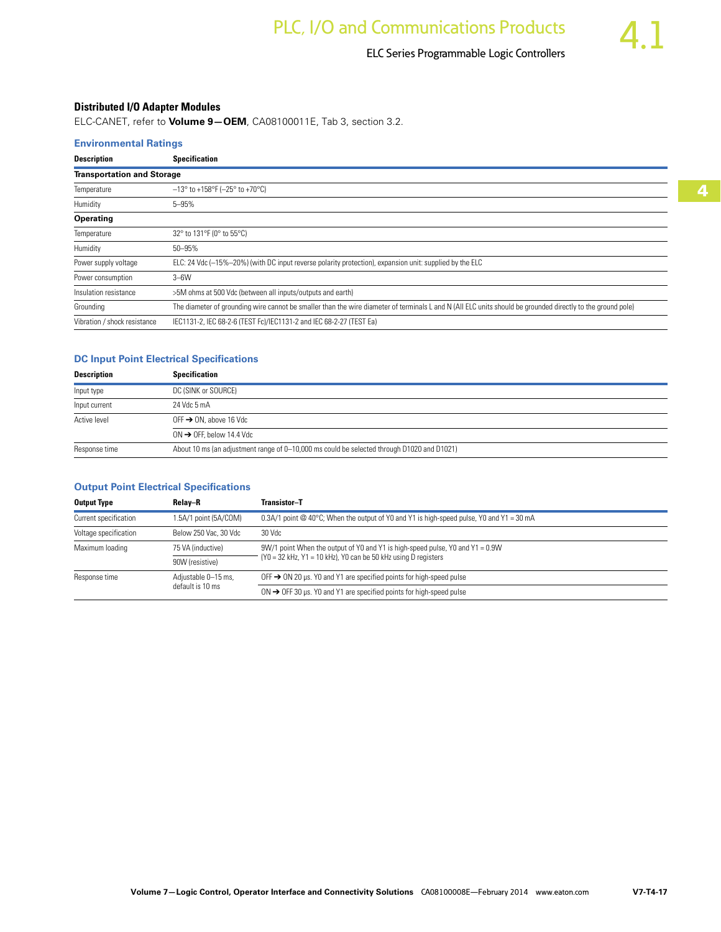# **Distributed I/O Adapter Modules**

ELC-CANET, refer to **Volume 9—OEM**, CA08100011E, Tab 3, section 3.2.

### **Environmental Ratings**

| <b>Description</b>           | <b>Specification</b>                                                                                                                                        |  |  |  |  |
|------------------------------|-------------------------------------------------------------------------------------------------------------------------------------------------------------|--|--|--|--|
|                              | <b>Transportation and Storage</b>                                                                                                                           |  |  |  |  |
| Temperature                  | $-13^{\circ}$ to +158°F (-25° to +70°C)                                                                                                                     |  |  |  |  |
| Humidity                     | $5 - 95%$                                                                                                                                                   |  |  |  |  |
| Operating                    |                                                                                                                                                             |  |  |  |  |
| Temperature                  | 32° to 131°F (0° to 55°C)                                                                                                                                   |  |  |  |  |
| Humidity                     | 50-95%                                                                                                                                                      |  |  |  |  |
| Power supply voltage         | ELC: 24 Vdc (-15%-20%) (with DC input reverse polarity protection), expansion unit: supplied by the ELC                                                     |  |  |  |  |
| Power consumption            | $3 - 6W$                                                                                                                                                    |  |  |  |  |
| Insulation resistance        | >5M ohms at 500 Vdc (between all inputs/outputs and earth)                                                                                                  |  |  |  |  |
| Grounding                    | The diameter of grounding wire cannot be smaller than the wire diameter of terminals L and N (All ELC units should be grounded directly to the ground pole) |  |  |  |  |
| Vibration / shock resistance | IEC1131-2, IEC 68-2-6 (TEST Fc)/IEC1131-2 and IEC 68-2-27 (TEST Ea)                                                                                         |  |  |  |  |

# **DC Input Point Electrical Specifications**

| <b>Description</b> | Specification                                                                              |  |  |
|--------------------|--------------------------------------------------------------------------------------------|--|--|
| Input type         | DC (SINK or SOURCE)                                                                        |  |  |
| Input current      | 24 Vdc 5 mA                                                                                |  |  |
| Active level       | OFF $\rightarrow$ ON, above 16 Vdc                                                         |  |  |
|                    | $ON \rightarrow$ OFF, below 14.4 Vdc                                                       |  |  |
| Response time      | About 10 ms (an adjustment range of 0-10,000 ms could be selected through D1020 and D1021) |  |  |

### **Output Point Electrical Specifications**

| <b>Output Type</b>    | Relav-R                                 | Transistor-T                                                                                                                                        |  |
|-----------------------|-----------------------------------------|-----------------------------------------------------------------------------------------------------------------------------------------------------|--|
| Current specification | 1.5A/1 point (5A/COM)                   | $0.3A/1$ point @ 40°C; When the output of Y0 and Y1 is high-speed pulse, Y0 and Y1 = 30 mA                                                          |  |
| Voltage specification | Below 250 Vac. 30 Vdc                   | 30 Vdc                                                                                                                                              |  |
| Maximum loading       | 75 VA (inductive)                       | 9W/1 point When the output of Y0 and Y1 is high-speed pulse, Y0 and Y1 = 0.9W<br>$(Y0 = 32$ kHz, $Y1 = 10$ kHz), Y0 can be 50 kHz using D registers |  |
|                       | 90W (resistive)                         |                                                                                                                                                     |  |
| Response time         | Adjustable 0-15 ms,<br>default is 10 ms | OFF $\rightarrow$ ON 20 µs. YO and Y1 are specified points for high-speed pulse                                                                     |  |
|                       |                                         | $ON \rightarrow$ OFF 30 µs. Y0 and Y1 are specified points for high-speed pulse                                                                     |  |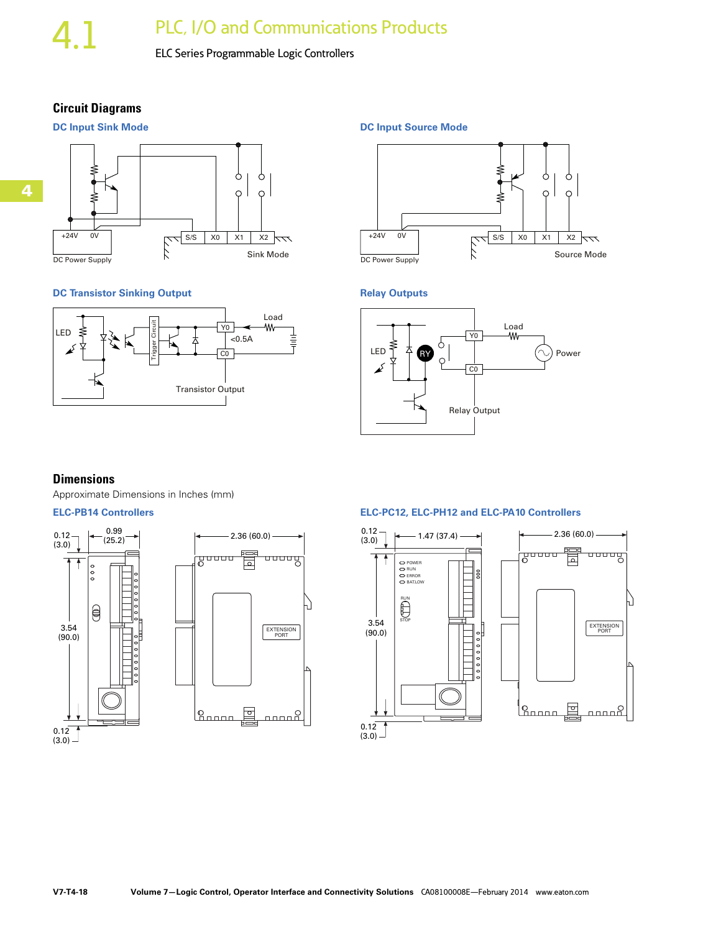**4**

# PLC, I/O and Communications Products

# ELC Series Programmable Logic Controllers

# **Circuit Diagrams**



# **DC Transistor Sinking Output**



**DC Input Source Mode** 



### **Relay Outputs**



# **Dimensions**

Approximate Dimensions in Inches (mm)





# **ELC-PB14 Controllers ELC-PC12, ELC-PH12 and ELC-PA10 Controllers**

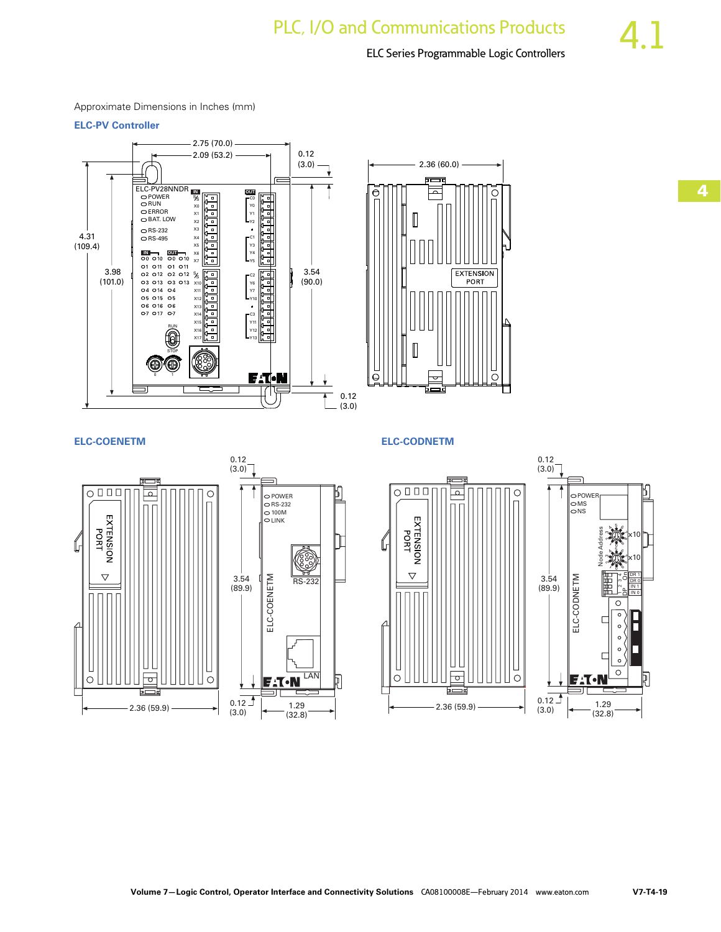

Approximate Dimensions in Inches (mm)

**ELC-PV Controller**  2.75 (70.0) 0.12 2.09 (53.2) (3.0) ELC-PV28NNDR  $\frac{1}{5}$ **IN OUT** POWER RUN C0 o X0 Y0<br>Y1<br>Y2 O ERROR X1  $\overline{a}$ ⋾ BAT. LOW X2 ø <u>is in Fil</u>  $ORS-232$  $\overline{a}$ X3 4.31  $\bigcirc$  RS-495 7 C1 Y3 Y4 X4 (109.4) X5 **IN OUT** o X6 X7 Y5 3.98 3.54 o S S C2 Y6 Y7 Щ (101.0) 03 013 03 013<br>04 014 04 ō (90.0)  $X1$  $\overline{\phantom{a}}$  $\vee$ 04 014 04<br>05 015 05<br>06 016 06<br>07 017 07 X12 Y10  $\mathbf{v}$ <sub>1</sub>  $\bullet$ X14 C3 X15 Y11 RUN X16 Y12 X17 Y13 STOP FAT. 0 1 Ū 0.12 (3.0)



**ELC-COENETM ELC-CODNETM**





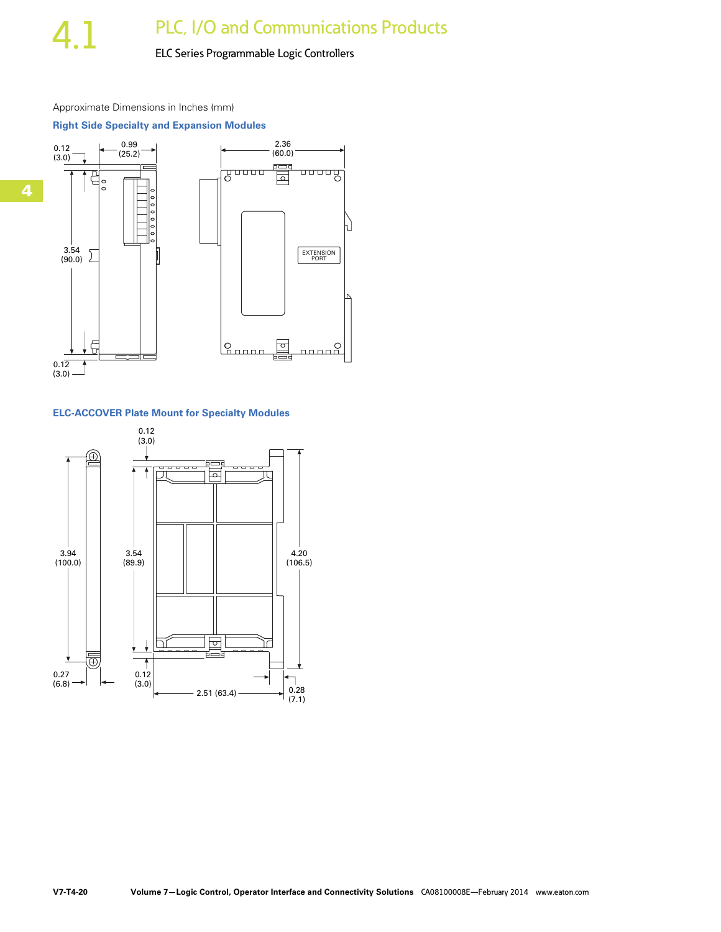# PLC, I/O and Communications Products

# ELC Series Programmable Logic Controllers

# Approximate Dimensions in Inches (mm)

**Right Side Specialty and Expansion Modules**



### **ELC-ACCOVER Plate Mount for Specialty Modules**

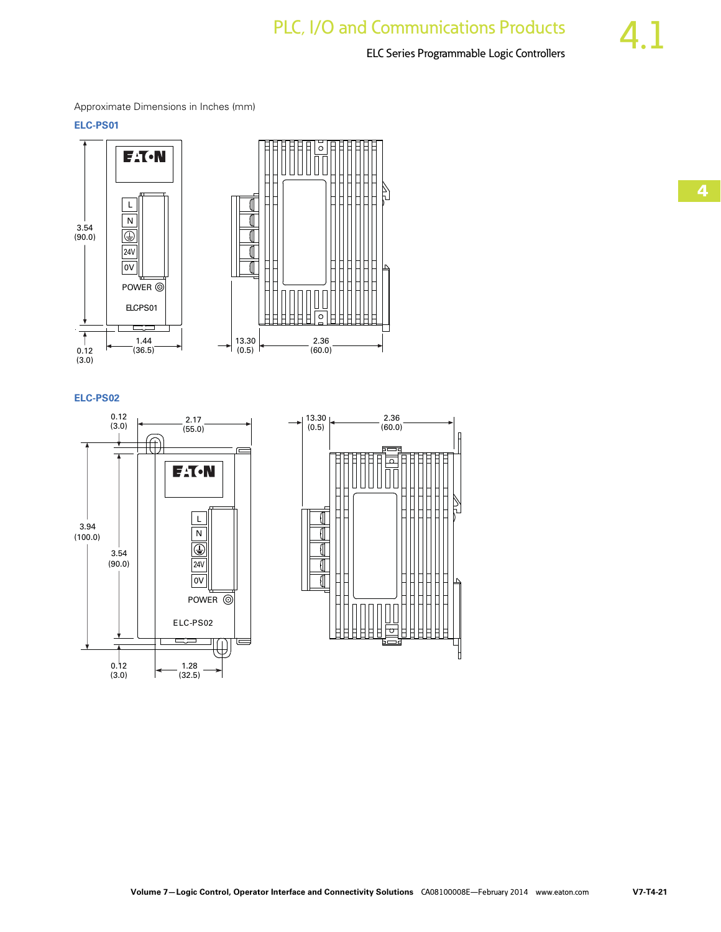Approximate Dimensions in Inches (mm)

**ELC-PS01**



### **ELC-PS02**



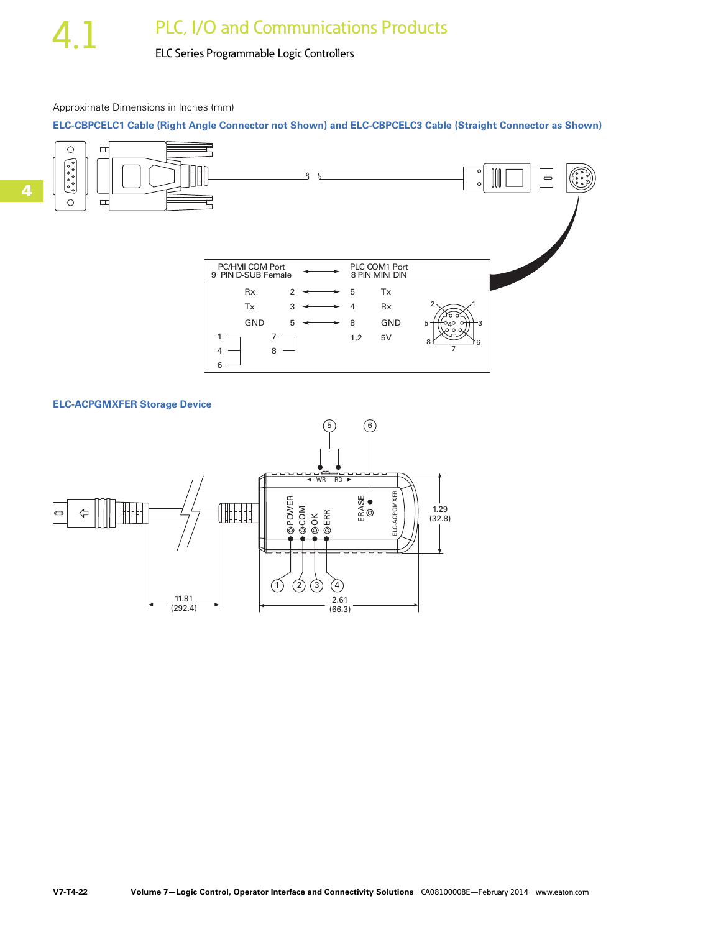### Approximate Dimensions in Inches (mm)

**ELC-CBPCELC1 Cable (Right Angle Connector not Shown) and ELC-CBPCELC3 Cable (Straight Connector as Shown)**



### **ELC-ACPGMXFER Storage Device**

![](_page_20_Figure_7.jpeg)